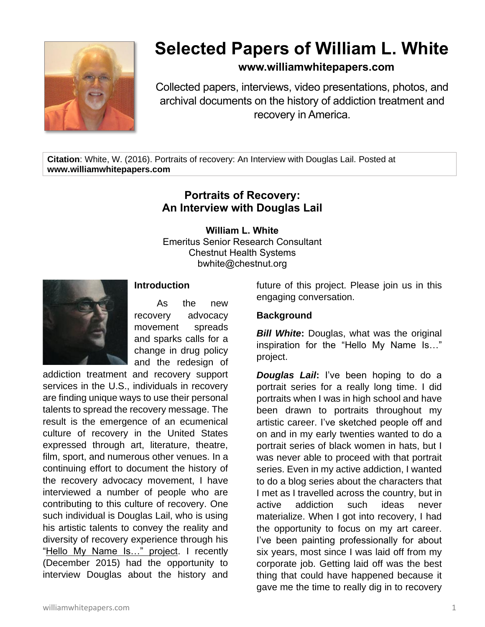

# **Selected Papers of William L. White**

## **www.williamwhitepapers.com**

Collected papers, interviews, video presentations, photos, and archival documents on the history of addiction treatment and recovery in America.

**Citation**: White, W. (2016). Portraits of recovery: An Interview with Douglas Lail. Posted at **www.williamwhitepapers.com**

# **Portraits of Recovery: An Interview with Douglas Lail**

**William L. White**

Emeritus Senior Research Consultant Chestnut Health Systems bwhite@chestnut.org



## **Introduction**

As the new recovery advocacy movement spreads and sparks calls for a change in drug policy and the redesign of

addiction treatment and recovery support services in the U.S., individuals in recovery are finding unique ways to use their personal talents to spread the recovery message. The result is the emergence of an ecumenical culture of recovery in the United States expressed through art, literature, theatre, film, sport, and numerous other venues. In a continuing effort to document the history of the recovery advocacy movement, I have interviewed a number of people who are contributing to this culture of recovery. One such individual is Douglas Lail, who is using his artistic talents to convey the reality and diversity of recovery experience through his "Hello My Name Is..." project. I recently (December 2015) had the opportunity to interview Douglas about the history and future of this project. Please join us in this engaging conversation.

#### **Background**

*Bill White***:** Douglas, what was the original inspiration for the "Hello My Name Is…" project.

*Douglas Lail***:** I've been hoping to do a portrait series for a really long time. I did portraits when I was in high school and have been drawn to portraits throughout my artistic career. I've sketched people off and on and in my early twenties wanted to do a portrait series of black women in hats, but I was never able to proceed with that portrait series. Even in my active addiction, I wanted to do a blog series about the characters that I met as I travelled across the country, but in active addiction such ideas never materialize. When I got into recovery, I had the opportunity to focus on my art career. I've been painting professionally for about six years, most since I was laid off from my corporate job. Getting laid off was the best thing that could have happened because it gave me the time to really dig in to recovery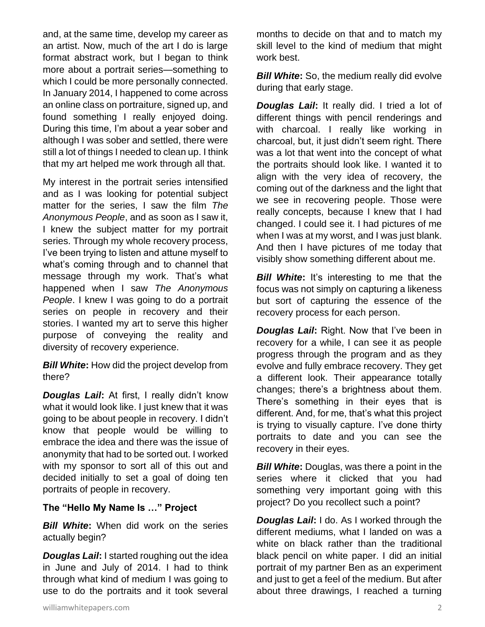and, at the same time, develop my career as an artist. Now, much of the art I do is large format abstract work, but I began to think more about a portrait series—something to which I could be more personally connected. In January 2014, I happened to come across an online class on portraiture, signed up, and found something I really enjoyed doing. During this time, I'm about a year sober and although I was sober and settled, there were still a lot of things I needed to clean up. I think that my art helped me work through all that.

My interest in the portrait series intensified and as I was looking for potential subject matter for the series, I saw the film *The Anonymous People*, and as soon as I saw it, I knew the subject matter for my portrait series. Through my whole recovery process, I've been trying to listen and attune myself to what's coming through and to channel that message through my work. That's what happened when I saw *The Anonymous People*. I knew I was going to do a portrait series on people in recovery and their stories. I wanted my art to serve this higher purpose of conveying the reality and diversity of recovery experience.

*Bill White***:** How did the project develop from there?

*Douglas Lail***:** At first, I really didn't know what it would look like. I just knew that it was going to be about people in recovery. I didn't know that people would be willing to embrace the idea and there was the issue of anonymity that had to be sorted out. I worked with my sponsor to sort all of this out and decided initially to set a goal of doing ten portraits of people in recovery.

## **The "Hello My Name Is …" Project**

*Bill White***:** When did work on the series actually begin?

*Douglas Lail***:** I started roughing out the idea in June and July of 2014. I had to think through what kind of medium I was going to use to do the portraits and it took several months to decide on that and to match my skill level to the kind of medium that might work best.

**Bill White:** So, the medium really did evolve during that early stage.

*Douglas Lail***:** It really did. I tried a lot of different things with pencil renderings and with charcoal. I really like working in charcoal, but, it just didn't seem right. There was a lot that went into the concept of what the portraits should look like. I wanted it to align with the very idea of recovery, the coming out of the darkness and the light that we see in recovering people. Those were really concepts, because I knew that I had changed. I could see it. I had pictures of me when I was at my worst, and I was just blank. And then I have pictures of me today that visibly show something different about me.

**Bill White:** It's interesting to me that the focus was not simply on capturing a likeness but sort of capturing the essence of the recovery process for each person.

*Douglas Lail***:** Right. Now that I've been in recovery for a while, I can see it as people progress through the program and as they evolve and fully embrace recovery. They get a different look. Their appearance totally changes; there's a brightness about them. There's something in their eyes that is different. And, for me, that's what this project is trying to visually capture. I've done thirty portraits to date and you can see the recovery in their eyes.

*Bill White***:** Douglas, was there a point in the series where it clicked that you had something very important going with this project? Do you recollect such a point?

*Douglas Lail***:** I do. As I worked through the different mediums, what I landed on was a white on black rather than the traditional black pencil on white paper. I did an initial portrait of my partner Ben as an experiment and just to get a feel of the medium. But after about three drawings, I reached a turning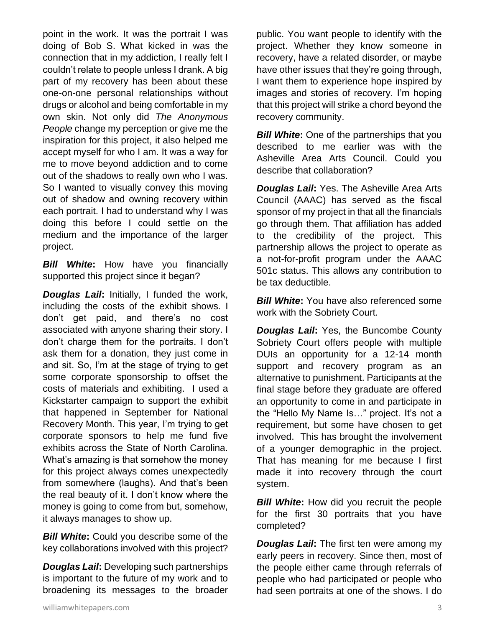point in the work. It was the portrait I was doing of Bob S. What kicked in was the connection that in my addiction, I really felt I couldn't relate to people unless I drank. A big part of my recovery has been about these one-on-one personal relationships without drugs or alcohol and being comfortable in my own skin. Not only did *The Anonymous People* change my perception or give me the inspiration for this project, it also helped me accept myself for who I am. It was a way for me to move beyond addiction and to come out of the shadows to really own who I was. So I wanted to visually convey this moving out of shadow and owning recovery within each portrait. I had to understand why I was doing this before I could settle on the medium and the importance of the larger project.

*Bill White***:** How have you financially supported this project since it began?

*Douglas Lail***:** Initially, I funded the work, including the costs of the exhibit shows. I don't get paid, and there's no cost associated with anyone sharing their story. I don't charge them for the portraits. I don't ask them for a donation, they just come in and sit. So, I'm at the stage of trying to get some corporate sponsorship to offset the costs of materials and exhibiting. I used a Kickstarter campaign to support the exhibit that happened in September for National Recovery Month. This year, I'm trying to get corporate sponsors to help me fund five exhibits across the State of North Carolina. What's amazing is that somehow the money for this project always comes unexpectedly from somewhere (laughs). And that's been the real beauty of it. I don't know where the money is going to come from but, somehow, it always manages to show up.

**Bill White:** Could you describe some of the key collaborations involved with this project?

*Douglas Lail***:** Developing such partnerships is important to the future of my work and to broadening its messages to the broader public. You want people to identify with the project. Whether they know someone in recovery, have a related disorder, or maybe have other issues that they're going through, I want them to experience hope inspired by images and stories of recovery. I'm hoping that this project will strike a chord beyond the recovery community.

*Bill White:* One of the partnerships that you described to me earlier was with the Asheville Area Arts Council. Could you describe that collaboration?

*Douglas Lail***:** Yes. The Asheville Area Arts Council (AAAC) has served as the fiscal sponsor of my project in that all the financials go through them. That affiliation has added to the credibility of the project. This partnership allows the project to operate as a not-for-profit program under the AAAC 501c status. This allows any contribution to be tax deductible.

**Bill White:** You have also referenced some work with the Sobriety Court.

*Douglas Lail***:** Yes, the Buncombe County Sobriety Court offers people with multiple DUIs an opportunity for a 12-14 month support and recovery program as an alternative to punishment. Participants at the final stage before they graduate are offered an opportunity to come in and participate in the "Hello My Name Is…" project. It's not a requirement, but some have chosen to get involved. This has brought the involvement of a younger demographic in the project. That has meaning for me because I first made it into recovery through the court system.

*Bill White:* How did you recruit the people for the first 30 portraits that you have completed?

*Douglas Lail***:** The first ten were among my early peers in recovery. Since then, most of the people either came through referrals of people who had participated or people who had seen portraits at one of the shows. I do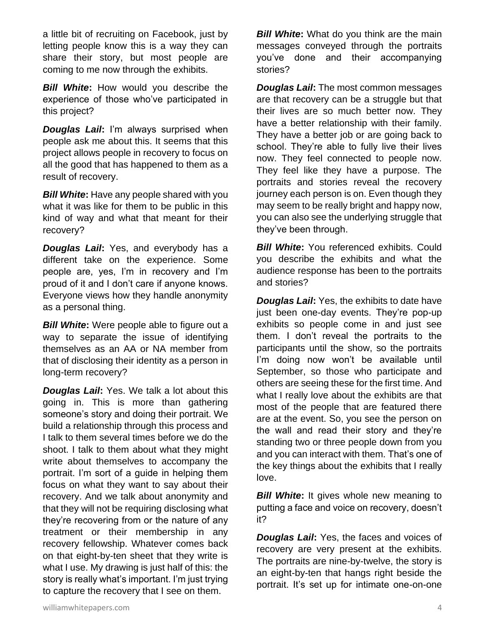a little bit of recruiting on Facebook, just by letting people know this is a way they can share their story, but most people are coming to me now through the exhibits.

*Bill White***:** How would you describe the experience of those who've participated in this project?

*Douglas Lail***:** I'm always surprised when people ask me about this. It seems that this project allows people in recovery to focus on all the good that has happened to them as a result of recovery.

*Bill White***:** Have any people shared with you what it was like for them to be public in this kind of way and what that meant for their recovery?

*Douglas Lail***:** Yes, and everybody has a different take on the experience. Some people are, yes, I'm in recovery and I'm proud of it and I don't care if anyone knows. Everyone views how they handle anonymity as a personal thing.

*Bill White***:** Were people able to figure out a way to separate the issue of identifying themselves as an AA or NA member from that of disclosing their identity as a person in long-term recovery?

*Douglas Lail***:** Yes. We talk a lot about this going in. This is more than gathering someone's story and doing their portrait. We build a relationship through this process and I talk to them several times before we do the shoot. I talk to them about what they might write about themselves to accompany the portrait. I'm sort of a guide in helping them focus on what they want to say about their recovery. And we talk about anonymity and that they will not be requiring disclosing what they're recovering from or the nature of any treatment or their membership in any recovery fellowship. Whatever comes back on that eight-by-ten sheet that they write is what I use. My drawing is just half of this: the story is really what's important. I'm just trying to capture the recovery that I see on them.

**Bill White:** What do you think are the main messages conveyed through the portraits you've done and their accompanying stories?

*Douglas Lail***:** The most common messages are that recovery can be a struggle but that their lives are so much better now. They have a better relationship with their family. They have a better job or are going back to school. They're able to fully live their lives now. They feel connected to people now. They feel like they have a purpose. The portraits and stories reveal the recovery journey each person is on. Even though they may seem to be really bright and happy now, you can also see the underlying struggle that they've been through.

*Bill White:* You referenced exhibits. Could you describe the exhibits and what the audience response has been to the portraits and stories?

*Douglas Lail***:** Yes, the exhibits to date have just been one-day events. They're pop-up exhibits so people come in and just see them. I don't reveal the portraits to the participants until the show, so the portraits I'm doing now won't be available until September, so those who participate and others are seeing these for the first time. And what I really love about the exhibits are that most of the people that are featured there are at the event. So, you see the person on the wall and read their story and they're standing two or three people down from you and you can interact with them. That's one of the key things about the exhibits that I really love.

**Bill White:** It gives whole new meaning to putting a face and voice on recovery, doesn't it?

*Douglas Lail***:** Yes, the faces and voices of recovery are very present at the exhibits. The portraits are nine-by-twelve, the story is an eight-by-ten that hangs right beside the portrait. It's set up for intimate one-on-one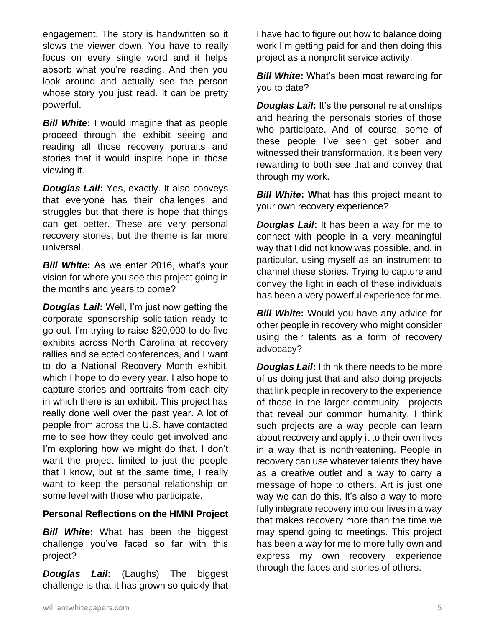engagement. The story is handwritten so it slows the viewer down. You have to really focus on every single word and it helps absorb what you're reading. And then you look around and actually see the person whose story you just read. It can be pretty powerful.

*Bill White***:** I would imagine that as people proceed through the exhibit seeing and reading all those recovery portraits and stories that it would inspire hope in those viewing it.

*Douglas Lail***:** Yes, exactly. It also conveys that everyone has their challenges and struggles but that there is hope that things can get better. These are very personal recovery stories, but the theme is far more universal.

**Bill White:** As we enter 2016, what's your vision for where you see this project going in the months and years to come?

*Douglas Lail***:** Well, I'm just now getting the corporate sponsorship solicitation ready to go out. I'm trying to raise \$20,000 to do five exhibits across North Carolina at recovery rallies and selected conferences, and I want to do a National Recovery Month exhibit, which I hope to do every year. I also hope to capture stories and portraits from each city in which there is an exhibit. This project has really done well over the past year. A lot of people from across the U.S. have contacted me to see how they could get involved and I'm exploring how we might do that. I don't want the project limited to just the people that I know, but at the same time, I really want to keep the personal relationship on some level with those who participate.

#### **Personal Reflections on the HMNI Project**

*Bill White***:** What has been the biggest challenge you've faced so far with this project?

*Douglas Lail***:** (Laughs) The biggest challenge is that it has grown so quickly that

I have had to figure out how to balance doing work I'm getting paid for and then doing this project as a nonprofit service activity.

*Bill White***:** What's been most rewarding for you to date?

*Douglas Lail:* It's the personal relationships and hearing the personals stories of those who participate. And of course, some of these people I've seen get sober and witnessed their transformation. It's been very rewarding to both see that and convey that through my work.

*Bill White:* What has this project meant to your own recovery experience?

*Douglas Lail***:** It has been a way for me to connect with people in a very meaningful way that I did not know was possible, and, in particular, using myself as an instrument to channel these stories. Trying to capture and convey the light in each of these individuals has been a very powerful experience for me.

*Bill White***:** Would you have any advice for other people in recovery who might consider using their talents as a form of recovery advocacy?

*Douglas Lail***:** I think there needs to be more of us doing just that and also doing projects that link people in recovery to the experience of those in the larger community—projects that reveal our common humanity. I think such projects are a way people can learn about recovery and apply it to their own lives in a way that is nonthreatening. People in recovery can use whatever talents they have as a creative outlet and a way to carry a message of hope to others. Art is just one way we can do this. It's also a way to more fully integrate recovery into our lives in a way that makes recovery more than the time we may spend going to meetings. This project has been a way for me to more fully own and express my own recovery experience through the faces and stories of others.